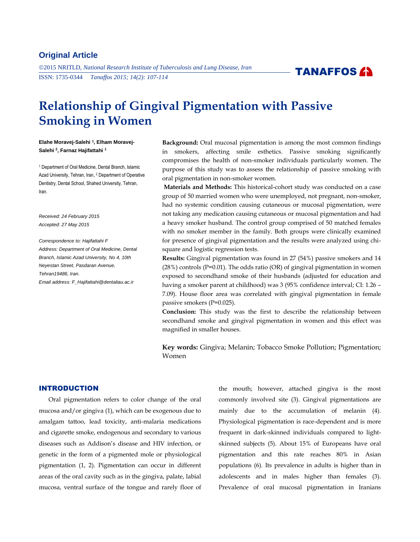# **Original Article**

2015 NRITLD, *National Research Institute of Tuberculosis and Lung Disease, Iran* ISSN: 1735-0344 *Tanaffos 2015; 14(2): 107-114*



# **Relationship of Gingival Pigmentation with Passive Smoking in Women**

**Elahe Moravej-Salehi <sup>1</sup> , Elham Moravej-Salehi <sup>2</sup> , Farnaz Hajifattahi <sup>1</sup>**

<sup>1</sup> Department of Oral Medicine, Dental Branch, Islamic Azad University, Tehran, Iran, <sup>2</sup> Department of Operative Dentistry, Dental School, Shahed University, Tehran, Iran.

*Received: 24 February 2015 Accepted: 27 May 2015*

*Correspondence to: Hajifattahi F Address: Department of Oral Medicine, Dental Branch, Islamic Azad University, No 4, 10th Neyestan Street, Pasdaran Avenue, Tehran19486, Iran. Email address: F\_Hajifattahi@dentaliau.ac.ir*

**Background:** Oral mucosal pigmentation is among the most common findings in smokers, affecting smile esthetics. Passive smoking significantly compromises the health of non-smoker individuals particularly women. The purpose of this study was to assess the relationship of passive smoking with oral pigmentation in non-smoker women.

**Materials and Methods:** This historical-cohort study was conducted on a case group of 50 married women who were unemployed, not pregnant, non-smoker, had no systemic condition causing cutaneous or mucosal pigmentation, were not taking any medication causing cutaneous or mucosal pigmentation and had a heavy smoker husband. The control group comprised of 50 matched females with no smoker member in the family. Both groups were clinically examined for presence of gingival pigmentation and the results were analyzed using chisquare and logistic regression tests.

**Results:** Gingival pigmentation was found in 27 (54%) passive smokers and 14 (28%) controls (P=0.01). The odds ratio (OR) of gingival pigmentation in women exposed to secondhand smoke of their husbands (adjusted for education and having a smoker parent at childhood) was 3 (95% confidence interval; CI: 1.26 -7.09). House floor area was correlated with gingival pigmentation in female passive smokers (P=0.025).

**Conclusion:** This study was the first to describe the relationship between secondhand smoke and gingival pigmentation in women and this effect was magnified in smaller houses.

**Key words:** Gingiva; Melanin; Tobacco Smoke Pollution; Pigmentation; Women

# INTRODUCTION

Oral pigmentation refers to color change of the oral mucosa and/or gingiva (1), which can be exogenous due to amalgam tattoo, lead toxicity, anti-malaria medications and cigarette smoke, endogenous and secondary to various diseases such as Addison's disease and HIV infection, or genetic in the form of a pigmented mole or physiological pigmentation (1, 2). Pigmentation can occur in different areas of the oral cavity such as in the gingiva, palate, labial mucosa, ventral surface of the tongue and rarely floor of the mouth; however, attached gingiva is the most commonly involved site (3). Gingival pigmentations are mainly due to the accumulation of melanin (4). Physiological pigmentation is race-dependent and is more frequent in dark-skinned individuals compared to lightskinned subjects (5). About 15% of Europeans have oral pigmentation and this rate reaches 80% in Asian populations (6). Its prevalence in adults is higher than in adolescents and in males higher than females (3). Prevalence of oral mucosal pigmentation in Iranians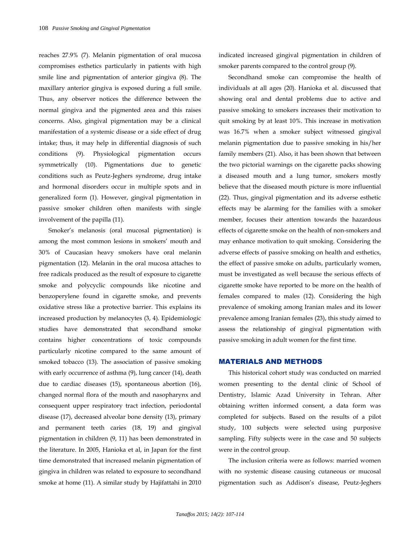reaches 27.9% (7). Melanin pigmentation of oral mucosa compromises esthetics particularly in patients with high smile line and pigmentation of anterior gingiva (8). The maxillary anterior gingiva is exposed during a full smile. Thus, any observer notices the difference between the normal gingiva and the pigmented area and this raises concerns. Also, gingival pigmentation may be a clinical manifestation of a systemic disease or a side effect of drug intake; thus, it may help in differential diagnosis of such conditions (9). Physiological pigmentation occurs symmetrically (10). Pigmentations due to genetic conditions such as Peutz-Jeghers syndrome, drug intake and hormonal disorders occur in multiple spots and in generalized form (1). However, gingival pigmentation in passive smoker children often manifests with single involvement of the papilla (11).

Smoker's melanosis (oral mucosal pigmentation) is among the most common lesions in smokers' mouth and 30% of Caucasian heavy smokers have oral melanin pigmentation (12). Melanin in the oral mucosa attaches to free radicals produced as the result of exposure to cigarette smoke and polycyclic compounds like nicotine and benzoperylene found in cigarette smoke, and prevents oxidative stress like a protective barrier. This explains its increased production by melanocytes (3, 4). Epidemiologic studies have demonstrated that secondhand smoke contains higher concentrations of toxic compounds particularly nicotine compared to the same amount of smoked tobacco (13). The association of passive smoking with early occurrence of asthma (9), lung cancer (14), death due to cardiac diseases (15), spontaneous abortion (16), changed normal flora of the mouth and nasopharynx and consequent upper respiratory tract infection, periodontal disease (17), decreased alveolar bone density (13), primary and permanent teeth caries (18, 19) and gingival pigmentation in children (9, 11) has been demonstrated in the literature. In 2005, Hanioka et al, in Japan for the first time demonstrated that increased melanin pigmentation of gingiva in children was related to exposure to secondhand smoke at home (11). A similar study by Hajifattahi in 2010 indicated increased gingival pigmentation in children of smoker parents compared to the control group (9).

Secondhand smoke can compromise the health of individuals at all ages (20). Hanioka et al. discussed that showing oral and dental problems due to active and passive smoking to smokers increases their motivation to quit smoking by at least 10%. This increase in motivation was 16.7% when a smoker subject witnessed gingival melanin pigmentation due to passive smoking in his/her family members (21). Also, it has been shown that between the two pictorial warnings on the cigarette packs showing a diseased mouth and a lung tumor, smokers mostly believe that the diseased mouth picture is more influential (22). Thus, gingival pigmentation and its adverse esthetic effects may be alarming for the families with a smoker member, focuses their attention towards the hazardous effects of cigarette smoke on the health of non-smokers and may enhance motivation to quit smoking. Considering the adverse effects of passive smoking on health and esthetics, the effect of passive smoke on adults, particularly women, must be investigated as well because the serious effects of cigarette smoke have reported to be more on the health of females compared to males (12). Considering the high prevalence of smoking among Iranian males and its lower prevalence among Iranian females (23), this study aimed to assess the relationship of gingival pigmentation with passive smoking in adult women for the first time.

## MATERIALS AND METHODS

This historical cohort study was conducted on married women presenting to the dental clinic of School of Dentistry, Islamic Azad University in Tehran. After obtaining written informed consent, a data form was completed for subjects. Based on the results of a pilot study, 100 subjects were selected using purposive sampling. Fifty subjects were in the case and 50 subjects were in the control group.

The inclusion criteria were as follows: married women with no systemic disease causing cutaneous or mucosal pigmentation such as Addison's disease, Peutz-Jeghers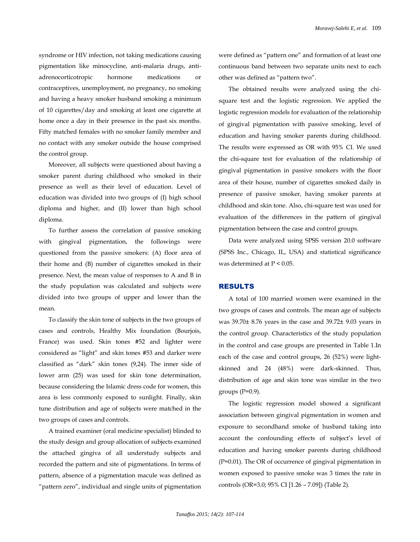syndrome or HIV infection, not taking medications causing pigmentation like minocycline, anti-malaria drugs, antiadrenocorticotropic hormone medications or contraceptives, unemployment, no pregnancy, no smoking and having a heavy smoker husband smoking a minimum of 10 cigarettes/day and smoking at least one cigarette at home once a day in their presence in the past six months. Fifty matched females with no smoker family member and no contact with any smoker outside the house comprised the control group.

Moreover, all subjects were questioned about having a smoker parent during childhood who smoked in their presence as well as their level of education. Level of education was divided into two groups of (I) high school diploma and higher, and (II) lower than high school diploma.

To further assess the correlation of passive smoking with gingival pigmentation, the followings were questioned from the passive smokers: (A) floor area of their home and (B) number of cigarettes smoked in their presence. Next, the mean value of responses to A and B in the study population was calculated and subjects were divided into two groups of upper and lower than the mean.

To classify the skin tone of subjects in the two groups of cases and controls, Healthy Mix foundation (Bourjois, France) was used. Skin tones #52 and lighter were considered as "light" and skin tones #53 and darker were classified as "dark" skin tones (9,24). The inner side of lower arm (25) was used for skin tone determination, because considering the Islamic dress code for women, this area is less commonly exposed to sunlight. Finally, skin tune distribution and age of subjects were matched in the two groups of cases and controls.

A trained examiner (oral medicine specialist) blinded to the study design and group allocation of subjects examined the attached gingiva of all understudy subjects and recorded the pattern and site of pigmentations. In terms of pattern, absence of a pigmentation macule was defined as "pattern zero", individual and single units of pigmentation were defined as "pattern one" and formation of at least one continuous band between two separate units next to each other was defined as "pattern two".

The obtained results were analyzed using the chisquare test and the logistic regression. We applied the logistic regression models for evaluation of the relationship of gingival pigmentation with passive smoking, level of education and having smoker parents during childhood. The results were expressed as OR with 95% CI. We used the chi-square test for evaluation of the relationship of gingival pigmentation in passive smokers with the floor area of their house, number of cigarettes smoked daily in presence of passive smoker, having smoker parents at childhood and skin tone. Also, chi-square test was used for evaluation of the differences in the pattern of gingival pigmentation between the case and control groups.

Data were analyzed using SPSS version 20.0 software (SPSS Inc., Chicago, IL, USA) and statistical significance was determined at P *<* 0.05.

## RESULTS

A total of 100 married women were examined in the two groups of cases and controls. The mean age of subjects was 39.70± 8.76 years in the case and 39.72± 9.03 years in the control group. Characteristics of the study population in the control and case groups are presented in Table 1.In each of the case and control groups, 26 (52%) were lightskinned and 24 (48%) were dark-skinned. Thus, distribution of age and skin tone was similar in the two groups  $(P=0.9)$ .

The logistic regression model showed a significant association between gingival pigmentation in women and exposure to secondhand smoke of husband taking into account the confounding effects of subject's level of education and having smoker parents during childhood (P=0.01). The OR of occurrence of gingival pigmentation in women exposed to passive smoke was 3 times the rate in controls (OR=3.0; 95% CI [1.26 – 7.09]) (Table 2).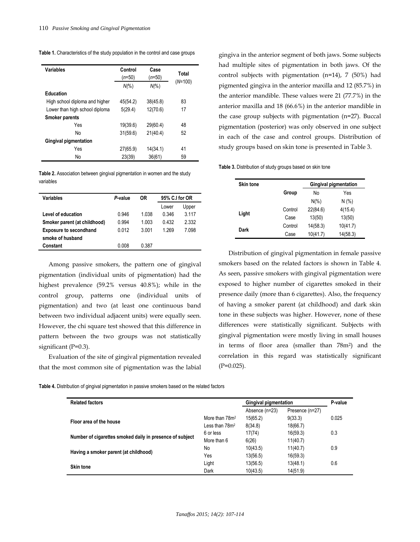**Table 1.** Characteristics of the study population in the control and case groups

| Variables                      | Control<br>$(n=50)$<br>$N\frac{6}{6}$ | Case<br>$(n=50)$<br>$N\frac{6}{6}$ | Total<br>$(N=100)$ |
|--------------------------------|---------------------------------------|------------------------------------|--------------------|
| <b>Education</b>               |                                       |                                    |                    |
|                                |                                       |                                    |                    |
| High school diploma and higher | 45(54.2)                              | 38(45.8)                           | 83                 |
| Lower than high school diploma | 5(29.4)                               | 12(70.6)                           | 17                 |
| <b>Smoker parents</b>          |                                       |                                    |                    |
| Yes                            | 19(39.6)                              | 29(60.4)                           | 48                 |
| No                             | 31(59.6)                              | 21(40.4)                           | 52                 |
| <b>Gingival pigmentation</b>   |                                       |                                    |                    |
| Yes                            | 27(65.9)                              | 14(34.1)                           | 41                 |
| No                             | 23(39)                                | 36(61)                             | 59                 |

**Table 2.** Association between gingival pigmentation in women and the study variables

| Variables                     | P value | 0R      | 95% C.I for OR |         |
|-------------------------------|---------|---------|----------------|---------|
|                               |         |         | Lower          | Upper   |
| Level of education            | 0.946   | 1 038   | 0.346          | 3 1 1 7 |
| Smoker parent (at childhood)  | 0.994   | 1.003   | 0432           | 2332    |
| <b>Exposure to secondhand</b> | 0.012   | 3 0 0 1 | 1 269          | 7.098   |
| smoke of husband              |         |         |                |         |
| Constant                      | 0.008   | 0.387   |                |         |
|                               |         |         |                |         |

Among passive smokers, the pattern one of gingival pigmentation (individual units of pigmentation) had the highest prevalence (59.2% versus 40.8%); while in the control group, patterns one (individual units of pigmentation) and two (at least one continuous band between two individual adjacent units) were equally seen. However, the chi square test showed that this difference in pattern between the two groups was not statistically significant (P=0.3).

Evaluation of the site of gingival pigmentation revealed that the most common site of pigmentation was the labial gingiva in the anterior segment of both jaws. Some subjects had multiple sites of pigmentation in both jaws. Of the control subjects with pigmentation (n=14), 7 (50%) had pigmented gingiva in the anterior maxilla and 12 (85.7%) in the anterior mandible. These values were 21 (77.7%) in the anterior maxilla and 18 (66.6%) in the anterior mandible in the case group subjects with pigmentation (n=27). Buccal pigmentation (posterior) was only observed in one subject in each of the case and control groups. Distribution of study groups based on skin tone is presented in Table 3.

**Table 3.** Distribution of study groups based on skin tone

| <b>Skin tone</b> |         | <b>Gingival pigmentation</b> |          |  |
|------------------|---------|------------------------------|----------|--|
|                  | Group   | No                           | Yes      |  |
|                  |         | $N(\%)$                      | N(% )    |  |
|                  | Control | 22(84.6)                     | 4(15.4)  |  |
| Light            | Case    | 13(50)                       | 13(50)   |  |
| Dark             | Control | 14(58.3)                     | 10(41.7) |  |
|                  | Case    | 10(41.7)                     | 14(58.3) |  |

Distribution of gingival pigmentation in female passive smokers based on the related factors is shown in Table 4. As seen, passive smokers with gingival pigmentation were exposed to higher number of cigarettes smoked in their presence daily (more than 6 cigarettes). Also, the frequency of having a smoker parent (at childhood) and dark skin tone in these subjects was higher. However, none of these differences were statistically significant. Subjects with gingival pigmentation were mostly living in small houses in terms of floor area (smaller than 78m2) and the correlation in this regard was statistically significant  $(P=0.025)$ .

|  |  | Table 4. Distribution of gingival pigmentation in passive smokers based on the related factors |
|--|--|------------------------------------------------------------------------------------------------|
|  |  |                                                                                                |

| <b>Related factors</b>                                   |                            | <b>Gingival pigmentation</b> |                 | P-value |
|----------------------------------------------------------|----------------------------|------------------------------|-----------------|---------|
|                                                          |                            | Absence (n=23)               | Presence (n=27) |         |
| Floor area of the house                                  | More than 78m <sup>2</sup> | 15(65.2)                     | 9(33.3)         | 0.025   |
|                                                          | Less than $782$            | 8(34.8)                      | 18(66.7)        |         |
| Number of cigarettes smoked daily in presence of subject | 6 or less                  | 17(74)                       | 16(59.3)        | 0.3     |
|                                                          | More than 6                | 6(26)                        | 11(40.7)        |         |
|                                                          | No                         | 10(43.5)                     | 11(40.7)        | 0.9     |
| Having a smoker parent (at childhood)                    | Yes                        | 13(56.5)                     | 16(59.3)        |         |
|                                                          | Light                      | 13(56.5)                     | 13(48.1)        | 0.6     |
| <b>Skin tone</b>                                         | Dark                       | 10(43.5)                     | 14(51.9)        |         |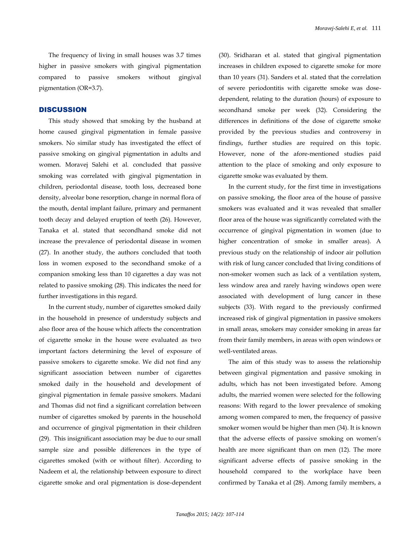The frequency of living in small houses was 3.7 times higher in passive smokers with gingival pigmentation compared to passive smokers without gingival pigmentation (OR=3.7).

## **DISCUSSION**

This study showed that smoking by the husband at home caused gingival pigmentation in female passive smokers. No similar study has investigated the effect of passive smoking on gingival pigmentation in adults and women. Moravej Salehi et al. concluded that passive smoking was correlated with gingival pigmentation in children, periodontal disease, tooth loss, decreased bone density, alveolar bone resorption, change in normal flora of the mouth, dental implant failure, primary and permanent tooth decay and delayed eruption of teeth (26). However, Tanaka et al. stated that secondhand smoke did not increase the prevalence of periodontal disease in women (27). In another study, the authors concluded that tooth loss in women exposed to the secondhand smoke of a companion smoking less than 10 cigarettes a day was not related to passive smoking (28). This indicates the need for further investigations in this regard.

In the current study, number of cigarettes smoked daily in the household in presence of understudy subjects and also floor area of the house which affects the concentration of cigarette smoke in the house were evaluated as two important factors determining the level of exposure of passive smokers to cigarette smoke. We did not find any significant association between number of cigarettes smoked daily in the household and development of gingival pigmentation in female passive smokers. Madani and Thomas did not find a significant correlation between number of cigarettes smoked by parents in the household and occurrence of gingival pigmentation in their children (29). This insignificant association may be due to our small sample size and possible differences in the type of cigarettes smoked (with or without filter). According to Nadeem et al, the relationship between exposure to direct cigarette smoke and oral pigmentation is dose-dependent (30). Sridharan et al. stated that gingival pigmentation increases in children exposed to cigarette smoke for more than 10 years (31). Sanders et al. stated that the correlation of severe periodontitis with cigarette smoke was dosedependent, relating to the duration (hours) of exposure to secondhand smoke per week (32). Considering the differences in definitions of the dose of cigarette smoke provided by the previous studies and controversy in findings, further studies are required on this topic. However, none of the afore-mentioned studies paid attention to the place of smoking and only exposure to cigarette smoke was evaluated by them.

In the current study, for the first time in investigations on passive smoking, the floor area of the house of passive smokers was evaluated and it was revealed that smaller floor area of the house was significantly correlated with the occurrence of gingival pigmentation in women (due to higher concentration of smoke in smaller areas). A previous study on the relationship of indoor air pollution with risk of lung cancer concluded that living conditions of non-smoker women such as lack of a ventilation system, less window area and rarely having windows open were associated with development of lung cancer in these subjects (33). With regard to the previously confirmed increased risk of gingival pigmentation in passive smokers in small areas, smokers may consider smoking in areas far from their family members, in areas with open windows or well-ventilated areas.

The aim of this study was to assess the relationship between gingival pigmentation and passive smoking in adults, which has not been investigated before. Among adults, the married women were selected for the following reasons: With regard to the lower prevalence of smoking among women compared to men, the frequency of passive smoker women would be higher than men (34). It is known that the adverse effects of passive smoking on women's health are more significant than on men (12). The more significant adverse effects of passive smoking in the household compared to the workplace have been confirmed by Tanaka et al (28). Among family members, a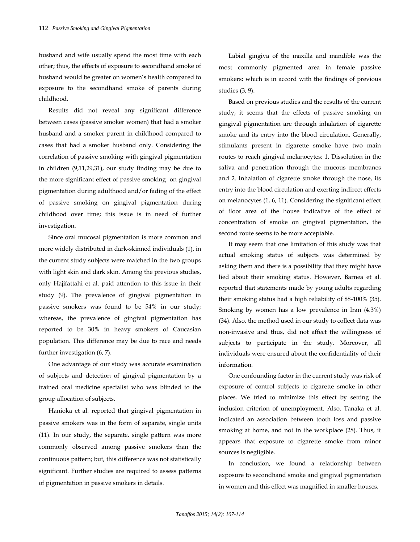husband and wife usually spend the most time with each other; thus, the effects of exposure to secondhand smoke of husband would be greater on women's health compared to exposure to the secondhand smoke of parents during childhood.

Results did not reveal any significant difference between cases (passive smoker women) that had a smoker husband and a smoker parent in childhood compared to cases that had a smoker husband only. Considering the correlation of passive smoking with gingival pigmentation in children (9,11,29,31), our study finding may be due to the more significant effect of passive smoking on gingival pigmentation during adulthood and/or fading of the effect of passive smoking on gingival pigmentation during childhood over time; this issue is in need of further investigation.

Since oral mucosal pigmentation is more common and more widely distributed in dark-skinned individuals (1), in the current study subjects were matched in the two groups with light skin and dark skin. Among the previous studies, only Hajifattahi et al. paid attention to this issue in their study (9). The prevalence of gingival pigmentation in passive smokers was found to be 54% in our study; whereas, the prevalence of gingival pigmentation has reported to be 30% in heavy smokers of Caucasian population. This difference may be due to race and needs further investigation (6, 7).

One advantage of our study was accurate examination of subjects and detection of gingival pigmentation by a trained oral medicine specialist who was blinded to the group allocation of subjects.

Hanioka et al. reported that gingival pigmentation in passive smokers was in the form of separate, single units (11). In our study, the separate, single pattern was more commonly observed among passive smokers than the continuous pattern; but, this difference was not statistically significant. Further studies are required to assess patterns of pigmentation in passive smokers in details.

Labial gingiva of the maxilla and mandible was the most commonly pigmented area in female passive smokers; which is in accord with the findings of previous studies (3, 9).

Based on previous studies and the results of the current study, it seems that the effects of passive smoking on gingival pigmentation are through inhalation of cigarette smoke and its entry into the blood circulation. Generally, stimulants present in cigarette smoke have two main routes to reach gingival melanocytes: 1. Dissolution in the saliva and penetration through the mucous membranes and 2. Inhalation of cigarette smoke through the nose, its entry into the blood circulation and exerting indirect effects on melanocytes (1, 6, 11). Considering the significant effect of floor area of the house indicative of the effect of concentration of smoke on gingival pigmentation, the second route seems to be more acceptable.

It may seem that one limitation of this study was that actual smoking status of subjects was determined by asking them and there is a possibility that they might have lied about their smoking status. However, Barnea et al. reported that statements made by young adults regarding their smoking status had a high reliability of 88-100% (35). Smoking by women has a low prevalence in Iran (4.3%) (34). Also, the method used in our study to collect data was non-invasive and thus, did not affect the willingness of subjects to participate in the study. Moreover, all individuals were ensured about the confidentiality of their information.

One confounding factor in the current study was risk of exposure of control subjects to cigarette smoke in other places. We tried to minimize this effect by setting the inclusion criterion of unemployment. Also, Tanaka et al. indicated an association between tooth loss and passive smoking at home, and not in the workplace (28). Thus, it appears that exposure to cigarette smoke from minor sources is negligible.

In conclusion, we found a relationship between exposure to secondhand smoke and gingival pigmentation in women and this effect was magnified in smaller houses.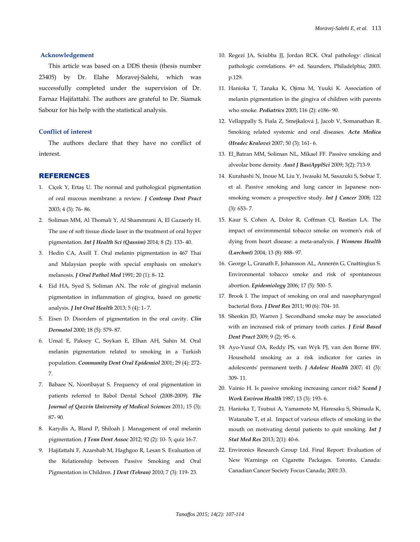#### **Acknowledgement**

This article was based on a DDS thesis (thesis number 23405) by Dr. Elahe Moravej-Salehi, which was successfully completed under the supervision of Dr. Farnaz Hajifattahi. The authors are grateful to Dr. Siamak Sabour for his help with the statistical analysis.

#### **Conflict of interest**

The authors declare that they have no conflict of interest.

#### REFERENCES

- 1. Ciçek Y, Ertaş U. The normal and pathological pigmentation of oral mucous membrane: a review. *J Contemp Dent Pract* 2003; 4 (3): 76- 86.
- 2. Soliman MM, Al Thomali Y, Al Shammrani A, El Gazaerly H. The use of soft tissue diode laser in the treatment of oral hyper pigmentation. *Int J Health Sci (Qassim)* 2014; 8 (2): 133- 40.
- 3. Hedin CA, Axéll T. Oral melanin pigmentation in 467 Thai and Malaysian people with special emphasis on smoker's melanosis. *J Oral Pathol Med* 1991; 20 (1): 8- 12.
- 4. Eid HA, Syed S, Soliman AN. The role of gingival melanin pigmentation in inflammation of gingiva, based on genetic analysis. *J Int Oral Health* 2013; 5 (4): 1- 7.
- 5. Eisen D. Disorders of pigmentation in the oral cavity. *Clin Dermatol* 2000; 18 (5): 579- 87.
- 6. Unsal E, Paksoy C, Soykan E, Elhan AH, Sahin M. Oral melanin pigmentation related to smoking in a Turkish population. *Community Dent Oral Epidemiol* 2001; 29 (4): 272- 7.
- 7. Babaee N, Nooribayat S. Frequency of oral pigmentation in patients referred to Babol Dental School (2008-2009). *The Journal of Qazvin University of Medical Sciences* 2011; 15 (3): 87- 90.
- 8. Karydis A, Bland P, Shiloah J. Management of oral melanin pigmentation. *J Tenn Dent Assoc* 2012; 92 (2): 10- 5; quiz 16-7.
- 9. Hajifattahi F, Azarshab M, Haghgoo R, Lesan S. Evaluation of the Relationship between Passive Smoking and Oral Pigmentation in Children. *J Dent (Tehran)* 2010; 7 (3): 119- 23.
- 10. Regezi JA, Sciubba JJ, Jordan RCK. Oral pathology: clinical pathologic correlations. 4th ed. Saunders, Philadelphia; 2003. p.129.
- 11. Hanioka T, Tanaka K, Ojima M, Yuuki K. Association of melanin pigmentation in the gingiva of children with parents who smoke. *Pediatrics* 2005; 116 (2): e186- 90.
- 12. Vellappally S, Fiala Z, Smejkalová J, Jacob V, Somanathan R. Smoking related systemic and oral diseases. *Acta Medica (Hradec Kralove)* 2007; 50 (3): 161- 6.
- 13. El\_Batran MM, Soliman NL, Mikael FF. Passive smoking and alveolar bone density. *Aust J BasiApplSci* 2009; 3(2): 713-9.
- 14. Kurahashi N, Inoue M, Liu Y, Iwasaki M, Sasazuki S, Sobue T, et al. Passive smoking and lung cancer in Japanese nonsmoking women: a prospective study. *Int J Cancer* 2008; 122 (3): 653- 7.
- 15. Kaur S, Cohen A, Dolor R, Coffman CJ, Bastian LA. The impact of environmental tobacco smoke on women's risk of dying from heart disease: a meta-analysis. *J Womens Health (Larchmt)* 2004; 13 (8): 888- 97.
- 16. George L, Granath F, Johansson AL, Annerén G, Cnattingius S. Environmental tobacco smoke and risk of spontaneous abortion. *Epidemiology* 2006; 17 (5): 500- 5.
- 17. Brook I. The impact of smoking on oral and nasopharyngeal bacterial flora. *J Dent Res* 2011; 90 (6): 704- 10.
- 18. Shenkin JD, Warren J. Secondhand smoke may be associated with an increased risk of primary tooth caries. *J Evid Based Dent Pract* 2009; 9 (2): 95- 6.
- 19. Ayo-Yusuf OA, Reddy PS, van Wyk PJ, van den Borne BW. Household smoking as a risk indicator for caries in adolescents' permanent teeth. *J Adolesc Health* 2007; 41 (3): 309- 11.
- 20. Vainio H. Is passive smoking increasing cancer risk? *Scand J Work Environ Health* 1987; 13 (3): 193- 6.
- 21. Hanioka T, Tsutsui A, Yamamoto M, Haresaku S, Shimada K, Watanabe T, et al. Impact of various effects of smoking in the mouth on motivating dental patients to quit smoking. *Int J Stat Med Res* 2013; 2(1): 40-6.
- 22. Environics Research Group Ltd. Final Report: Evaluation of New Warnings on Cigarette Packages. Toronto, Canada: Canadian Cancer Society Focus Canada; 2001:33.